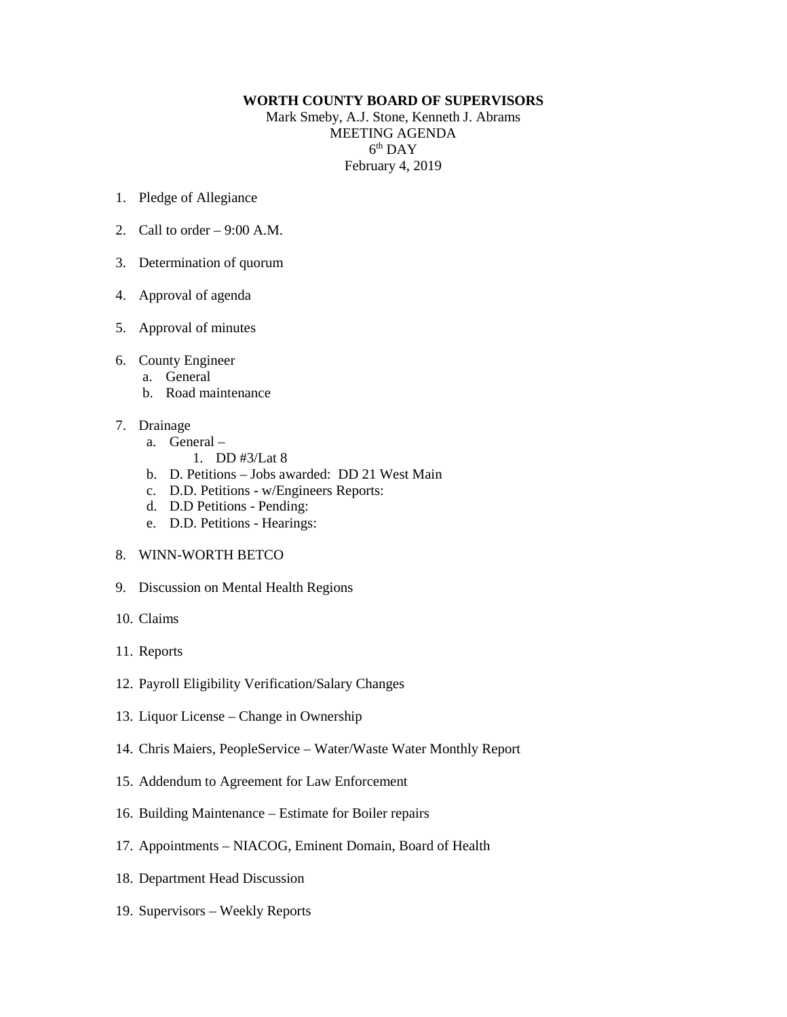## **WORTH COUNTY BOARD OF SUPERVISORS**

Mark Smeby, A.J. Stone, Kenneth J. Abrams MEETING AGENDA  $6<sup>th</sup>$  DAY February 4, 2019

- 1. Pledge of Allegiance
- 2. Call to order 9:00 A.M.
- 3. Determination of quorum
- 4. Approval of agenda
- 5. Approval of minutes
- 6. County Engineer
	- a. General
	- b. Road maintenance
- 7. Drainage
	- a. General
		- 1. DD #3/Lat 8
	- b. D. Petitions Jobs awarded: DD 21 West Main
	- c. D.D. Petitions w/Engineers Reports:
	- d. D.D Petitions Pending:
	- e. D.D. Petitions Hearings:
- 8. WINN-WORTH BETCO
- 9. Discussion on Mental Health Regions
- 10. Claims
- 11. Reports
- 12. Payroll Eligibility Verification/Salary Changes
- 13. Liquor License Change in Ownership
- 14. Chris Maiers, PeopleService Water/Waste Water Monthly Report
- 15. Addendum to Agreement for Law Enforcement
- 16. Building Maintenance Estimate for Boiler repairs
- 17. Appointments NIACOG, Eminent Domain, Board of Health
- 18. Department Head Discussion
- 19. Supervisors Weekly Reports